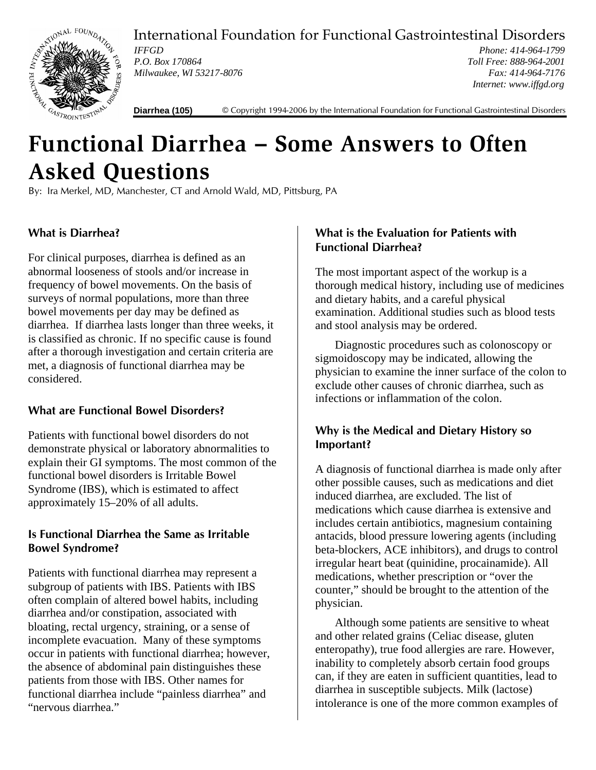

International Foundation for Functional Gastrointestinal Disorders

*IFFGD P.O. Box 170864 Milwaukee, WI 53217-8076*

*Phone: 414-964-1799 Toll Free: 888-964-2001 Fax: 414-964-7176 Internet: www.iffgd.org*

**Diarrhea (105)** © Copyright 1994-2006 by the International Foundation for Functional Gastrointestinal Disorders

# **Functional Diarrhea – Some Answers to Often Asked Questions**

By: Ira Merkel, MD, Manchester, CT and Arnold Wald, MD, Pittsburg, PA

# **What is Diarrhea?**

For clinical purposes, diarrhea is defined as an abnormal looseness of stools and/or increase in frequency of bowel movements. On the basis of surveys of normal populations, more than three bowel movements per day may be defined as diarrhea. If diarrhea lasts longer than three weeks, it is classified as chronic. If no specific cause is found after a thorough investigation and certain criteria are met, a diagnosis of functional diarrhea may be considered.

# **What are Functional Bowel Disorders?**

Patients with functional bowel disorders do not demonstrate physical or laboratory abnormalities to explain their GI symptoms. The most common of the functional bowel disorders is Irritable Bowel Syndrome (IBS), which is estimated to affect approximately 15–20% of all adults.

## **Is Functional Diarrhea the Same as Irritable Bowel Syndrome?**

Patients with functional diarrhea may represent a subgroup of patients with IBS. Patients with IBS often complain of altered bowel habits, including diarrhea and/or constipation, associated with bloating, rectal urgency, straining, or a sense of incomplete evacuation. Many of these symptoms occur in patients with functional diarrhea; however, the absence of abdominal pain distinguishes these patients from those with IBS. Other names for functional diarrhea include "painless diarrhea" and "nervous diarrhea."

## **What is the Evaluation for Patients with Functional Diarrhea?**

The most important aspect of the workup is a thorough medical history, including use of medicines and dietary habits, and a careful physical examination. Additional studies such as blood tests and stool analysis may be ordered.

Diagnostic procedures such as colonoscopy or sigmoidoscopy may be indicated, allowing the physician to examine the inner surface of the colon to exclude other causes of chronic diarrhea, such as infections or inflammation of the colon.

# **Why is the Medical and Dietary History so Important?**

A diagnosis of functional diarrhea is made only after other possible causes, such as medications and diet induced diarrhea, are excluded. The list of medications which cause diarrhea is extensive and includes certain antibiotics, magnesium containing antacids, blood pressure lowering agents (including beta-blockers, ACE inhibitors), and drugs to control irregular heart beat (quinidine, procainamide). All medications, whether prescription or "over the counter," should be brought to the attention of the physician.

Although some patients are sensitive to wheat and other related grains (Celiac disease, gluten enteropathy), true food allergies are rare. However, inability to completely absorb certain food groups can, if they are eaten in sufficient quantities, lead to diarrhea in susceptible subjects. Milk (lactose) intolerance is one of the more common examples of